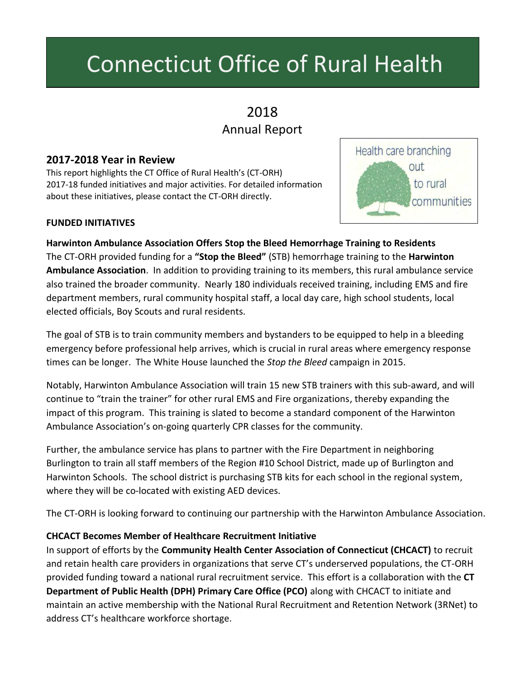# Connecticut Office of Rural Health

# 2018 Annual Report

## **2017-2018 Year in Review**

This report highlights the CT Office of Rural Health's (CT-ORH) 2017-18 funded initiatives and major activities. For detailed information about these initiatives, please contact the CT-ORH directly.

#### **FUNDED INITIATIVES**



**Harwinton Ambulance Association Offers Stop the Bleed Hemorrhage Training to Residents** The CT-ORH provided funding for a **"Stop the Bleed"** (STB) hemorrhage training to the **Harwinton Ambulance Association**. In addition to providing training to its members, this rural ambulance service also trained the broader community. Nearly 180 individuals received training, including EMS and fire department members, rural community hospital staff, a local day care, high school students, local elected officials, Boy Scouts and rural residents.

The goal of STB is to train community members and bystanders to be equipped to help in a bleeding emergency before professional help arrives, which is crucial in rural areas where emergency response times can be longer. The White House launched the *Stop the Bleed* campaign in 2015.

Notably, Harwinton Ambulance Association will train 15 new STB trainers with this sub-award, and will continue to "train the trainer" for other rural EMS and Fire organizations, thereby expanding the impact of this program. This training is slated to become a standard component of the Harwinton Ambulance Association's on-going quarterly CPR classes for the community.

Further, the ambulance service has plans to partner with the Fire Department in neighboring Burlington to train all staff members of the Region #10 School District, made up of Burlington and Harwinton Schools. The school district is purchasing STB kits for each school in the regional system, where they will be co-located with existing AED devices.

The CT-ORH is looking forward to continuing our partnership with the Harwinton Ambulance Association.

#### **CHCACT Becomes Member of Healthcare Recruitment Initiative**

In support of efforts by the **Community Health Center Association of Connecticut (CHCACT)** to recruit and retain health care providers in organizations that serve CT's underserved populations, the CT-ORH provided funding toward a national rural recruitment service. This effort is a collaboration with the **CT Department of Public Health (DPH) Primary Care Office (PCO)** along with CHCACT to initiate and maintain an active membership with the National Rural Recruitment and Retention Network (3RNet) to address CT's healthcare workforce shortage.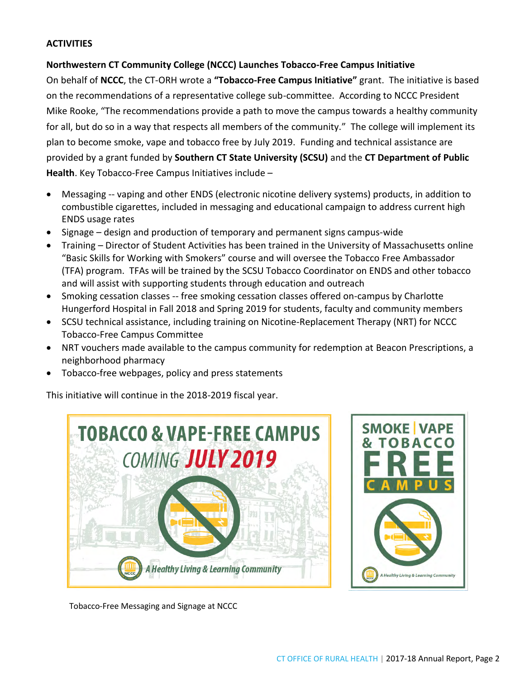#### **ACTIVITIES**

#### **Northwestern CT Community College (NCCC) Launches Tobacco-Free Campus Initiative**

On behalf of **NCCC**, the CT-ORH wrote a **"Tobacco-Free Campus Initiative"** grant. The initiative is based on the recommendations of a representative college sub-committee. According to NCCC President Mike Rooke, "The recommendations provide a path to move the campus towards a healthy community for all, but do so in a way that respects all members of the community." The college will implement its plan to become smoke, vape and tobacco free by July 2019. Funding and technical assistance are provided by a grant funded by **Southern CT State University (SCSU)** and the **CT Department of Public Health**. Key Tobacco-Free Campus Initiatives include –

- Messaging -- vaping and other ENDS (electronic nicotine delivery systems) products, in addition to combustible cigarettes, included in messaging and educational campaign to address current high ENDS usage rates
- Signage design and production of temporary and permanent signs campus-wide
- Training Director of Student Activities has been trained in the University of Massachusetts online "Basic Skills for Working with Smokers" course and will oversee the Tobacco Free Ambassador (TFA) program. TFAs will be trained by the SCSU Tobacco Coordinator on ENDS and other tobacco and will assist with supporting students through education and outreach
- Smoking cessation classes -- free smoking cessation classes offered on-campus by Charlotte Hungerford Hospital in Fall 2018 and Spring 2019 for students, faculty and community members
- SCSU technical assistance, including training on Nicotine-Replacement Therapy (NRT) for NCCC Tobacco-Free Campus Committee
- NRT vouchers made available to the campus community for redemption at Beacon Prescriptions, a neighborhood pharmacy
- Tobacco-free webpages, policy and press statements

This initiative will continue in the 2018-2019 fiscal year.





Tobacco-Free Messaging and Signage at NCCC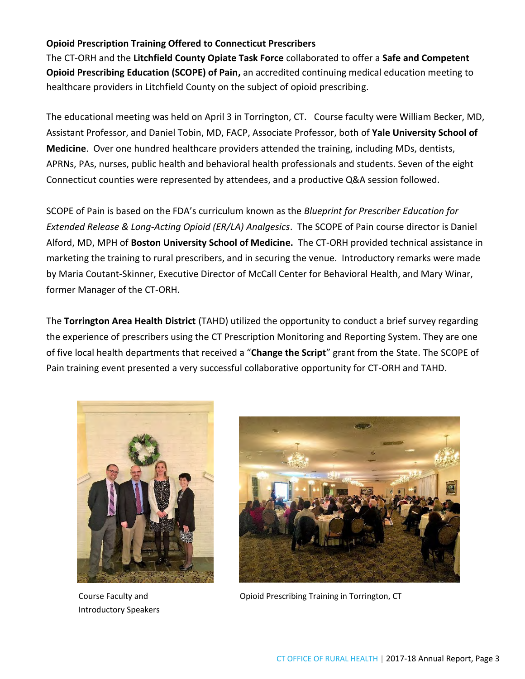#### **Opioid Prescription Training Offered to Connecticut Prescribers**

The CT-ORH and the **Litchfield County Opiate Task Force** collaborated to offer a **Safe and Competent Opioid Prescribing Education (SCOPE) of Pain,** an accredited continuing medical education meeting to healthcare providers in Litchfield County on the subject of opioid prescribing.

The educational meeting was held on April 3 in Torrington, CT. Course faculty were William Becker, MD, Assistant Professor, and Daniel Tobin, MD, FACP, Associate Professor, both of **Yale University School of Medicine**. Over one hundred healthcare providers attended the training, including MDs, dentists, APRNs, PAs, nurses, public health and behavioral health professionals and students. Seven of the eight Connecticut counties were represented by attendees, and a productive Q&A session followed.

SCOPE of Pain is based on the FDA's curriculum known as the *Blueprint for Prescriber Education for Extended Release & Long-Acting Opioid (ER/LA) Analgesics*. The SCOPE of Pain course director is Daniel Alford, MD, MPH of **Boston University School of Medicine.** The CT-ORH provided technical assistance in marketing the training to rural prescribers, and in securing the venue. Introductory remarks were made by Maria Coutant-Skinner, Executive Director of McCall Center for Behavioral Health, and Mary Winar, former Manager of the CT-ORH.

The **Torrington Area Health District** (TAHD) utilized the opportunity to conduct a brief survey regarding the experience of prescribers using the CT Prescription Monitoring and Reporting System. They are one of five local health departments that received a "**Change the Script**" grant from the State. The SCOPE of Pain training event presented a very successful collaborative opportunity for CT-ORH and TAHD.



Course Faculty and Introductory Speakers



Opioid Prescribing Training in Torrington, CT